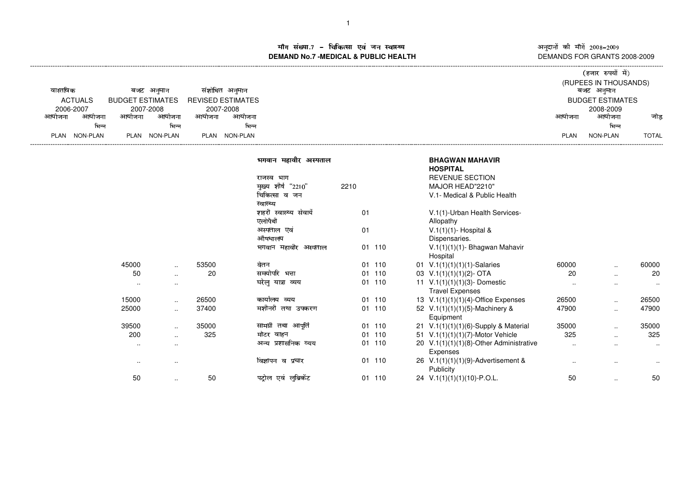म संख्या.7 – चिकित्सा एवं जन स्वास्थ्य<br>IAND No.7 -MEDICAL & DURLIC HEALTH **DEMAND No.7 -MEDICAL & PUBLIC HEALTH**----------------------------------------------------------------------------------------------------------------------------------------------------------------------------------------------------------------------------------------------------------------------------------------------

अनुदानों की माँगें 2008–2009<br>DEMANDS FOR GRANTS 2008-2009

|  |                  |                         |                          |             | (हजार रुपयों में)       |              |
|--|------------------|-------------------------|--------------------------|-------------|-------------------------|--------------|
|  |                  |                         |                          |             | (RUPEES IN THOUSANDS)   |              |
|  | वास्तविक         | बजट अनमान               | संशोधित अनुमान           |             | बजट अनुमान              |              |
|  | <b>ACTUALS</b>   | <b>BUDGET ESTIMATES</b> | <b>REVISED ESTIMATES</b> |             | <b>BUDGET ESTIMATES</b> |              |
|  | 2006-2007        | 2007-2008               | 2007-2008                |             | 2008-2009               |              |
|  | आयोजना<br>आयोजना | आयोजना<br>आयाजना        | आयोजना<br>आयोजना         | आयोजना      | आयोजना                  | जोड          |
|  | भिन्न            | भिन्न                   | भिन्न                    |             | भिन्न                   |              |
|  | NON-PLAN<br>PLAN | NON-PLAN<br>PLAN        | NON-PLAN<br>PLAN         | <b>PLAN</b> | NON-PLAN                | <b>TOTAL</b> |
|  |                  |                         |                          |             |                         |              |

|        |               |       | भगवान महावीर अस्पताल   |      |        | <b>BHAGWAN MAHAVIR</b><br><b>HOSPITAL</b>       |           |                      |           |
|--------|---------------|-------|------------------------|------|--------|-------------------------------------------------|-----------|----------------------|-----------|
|        |               |       | राजस्व भाग             |      |        | <b>REVENUE SECTION</b>                          |           |                      |           |
|        |               |       | मुख्य शीर्ष "2210"     | 2210 |        | MAJOR HEAD"2210"                                |           |                      |           |
|        |               |       | चिकित्सा व जन          |      |        | V.1- Medical & Public Health                    |           |                      |           |
|        |               |       | स्वास्थ्य              |      |        |                                                 |           |                      |           |
|        |               |       | शहरी स्वास्थ्य सेवायें | 01   |        | V.1(1)-Urban Health Services-                   |           |                      |           |
|        |               |       | एलोपैथी                |      |        | Allopathy                                       |           |                      |           |
|        |               |       | अस्पताल एवं            | 01   |        | V.1(1)(1)- Hospital &                           |           |                      |           |
|        |               |       | औषधालय                 |      |        | Dispensaries.                                   |           |                      |           |
|        |               |       | भगवान महावीर अस्पताल   |      | 01 110 | $V.1(1)(1)(1)$ - Bhagwan Mahavir                |           |                      |           |
|        |               |       |                        |      |        | Hospital                                        |           |                      |           |
| 45000  | $\sim$        | 53500 | वेतन                   |      | 01 110 | 01 $V.1(1)(1)(1)(1)$ -Salaries                  | 60000     | $\cdot$ .            | 60000     |
| 50     | $\cdot$ .     | 20    | समयोपरि भत्ता          |      | 01 110 | 03 $V.1(1)(1)(1)(2)$ - OTA                      | 20        | $\ddotsc$            | 20        |
| $\sim$ | $\cdot$ .     |       | घरेलू यात्रा व्यय      |      | 01 110 | 11 $V.1(1)(1)(1)(3)$ - Domestic                 | $\sim$    | $\cdot$ .            | $\cdots$  |
|        |               |       |                        |      |        | <b>Travel Expenses</b>                          |           |                      |           |
| 15000  | $\sim$ $\sim$ | 26500 | कार्यालय व्यय          |      | 01 110 | 13 $V.1(1)(1)(1)(4)$ -Office Expenses           | 26500     | ٠.                   | 26500     |
| 25000  | $\cdot$ .     | 37400 | मशीनरी तथा उपकरण       |      | 01 110 | 52 V.1(1)(1)(1)(5)-Machinery &<br>Equipment     | 47900     | ٠.                   | 47900     |
| 39500  | $\cdots$      | 35000 | सामग्री तथा आपूर्ति    |      | 01 110 | 21 V.1(1)(1)(1)(6)-Supply & Material            | 35000     | $\ddotsc$            | 35000     |
| 200    | $\ddotsc$     | 325   | मोटर वाहन              |      | 01 110 | 51 V.1(1)(1)(1)(7)-Motor Vehicle                | 325       | ٠.                   | 325       |
| $\sim$ | $\cdot$ .     |       | अन्य प्रशासनिक व्यय    |      | 01 110 | 20 V.1(1)(1)(1)(8)-Other Administrative         | $\sim$    | $\cdot$ .            | $\cdots$  |
|        |               |       |                        |      |        | Expenses                                        |           |                      |           |
| $\sim$ |               |       | विज्ञापन व प्रचार      |      | 01 110 | 26 V.1(1)(1)(1)(9)-Advertisement &<br>Publicity | $\cdot$ . | $\ddotsc$            | $\ddotsc$ |
| 50     | $\sim$        | 50    | पट्रोल एवं लुब्रिकेंट  |      | 01 110 | 24 $V.1(1)(1)(1)(10) - P. O.L.$                 | 50        | $\ddot{\phantom{1}}$ | 50        |
|        |               |       |                        |      |        |                                                 |           |                      |           |